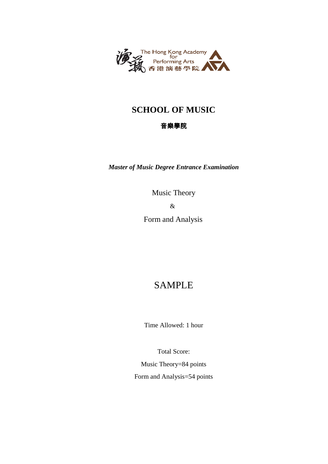

## **SCHOOL OF MUSIC**

### 音樂學院

*Master of Music Degree Entrance Examination*

Music Theory & Form and Analysis

# SAMPLE

Time Allowed: 1 hour

Total Score:

Music Theory=84 points Form and Analysis=54 points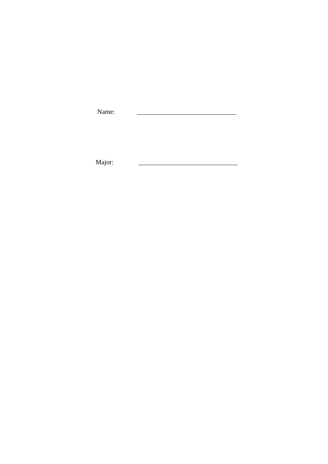| Name: |  |
|-------|--|
|       |  |
|       |  |

Major:  $\overline{a}$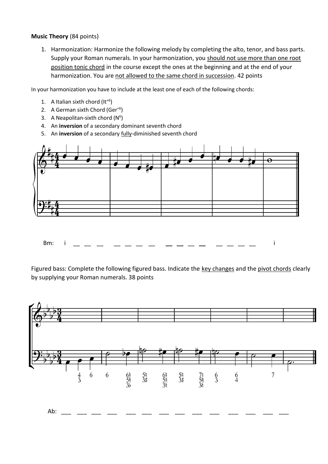### **Music Theory** (84 points)

1. Harmonization: Harmonize the following melody by completing the alto, tenor, and bass parts. Supply your Roman numerals. In your harmonization, you should not use more than one root position tonic chord in the course except the ones at the beginning and at the end of your harmonization. You are not allowed to the same chord in succession. 42 points

In your harmonization you have to include at the least one of each of the following chords:

- 1. A Italian sixth chord  $(It<sup>+6</sup>)$
- 2. A German sixth Chord (Ger<sup>+6</sup>)
- 3. A Neapolitan-sixth chord  $(N^6)$
- 4. An **inversion** of a secondary dominant seventh chord
- 5. An **inversion** of a secondary fully-diminished seventh chord



Bm: i \_\_ \_\_ \_\_ \_\_ \_\_ \_\_ \_\_ **\_\_ \_\_** \_\_ **\_\_** \_\_ \_\_ \_\_ \_\_ i

Figured bass: Complete the following figured bass. Indicate the key changes and the pivot chords clearly by supplying your Roman numerals. 38 points

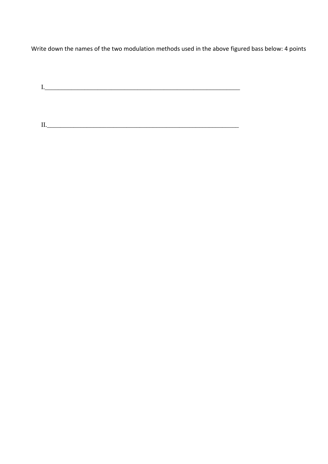Write down the names of the two modulation methods used in the above figured bass below: 4 points

I.\_\_\_\_\_\_\_\_\_\_\_\_\_\_\_\_\_\_\_\_\_\_\_\_\_\_\_\_\_\_\_\_\_\_\_\_\_\_\_\_\_\_\_\_\_\_\_\_\_\_\_\_\_\_\_\_\_\_\_

II.\_\_\_\_\_\_\_\_\_\_\_\_\_\_\_\_\_\_\_\_\_\_\_\_\_\_\_\_\_\_\_\_\_\_\_\_\_\_\_\_\_\_\_\_\_\_\_\_\_\_\_\_\_\_\_\_\_\_